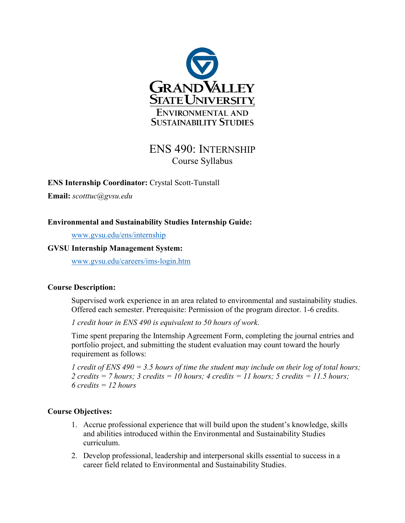

# ENS 490: INTERNSHIP Course Syllabus

**ENS Internship Coordinator:** Crystal Scott-Tunstall

**Email:** *scotttuc@gvsu.edu*

## **Environmental and Sustainability Studies Internship Guide:**

[www.gvsu.edu/ens/internship](http://www.gvsu.edu/ens/internship)

#### **GVSU Internship Management System:**

[www.gvsu.edu/careers/ims-login.htm](http://www.gvsu.edu/careers/ims-login.htm)

#### **Course Description:**

Supervised work experience in an area related to environmental and sustainability studies. Offered each semester. Prerequisite: Permission of the program director. 1-6 credits.

*1 credit hour in ENS 490 is equivalent to 50 hours of work*.

Time spent preparing the Internship Agreement Form, completing the journal entries and portfolio project, and submitting the student evaluation may count toward the hourly requirement as follows:

*1 credit of ENS 490 = 3.5 hours of time the student may include on their log of total hours; 2 credits = 7 hours; 3 credits = 10 hours; 4 credits = 11 hours; 5 credits = 11.5 hours; 6 credits = 12 hours*

#### **Course Objectives:**

- 1. Accrue professional experience that will build upon the student's knowledge, skills and abilities introduced within the Environmental and Sustainability Studies curriculum.
- 2. Develop professional, leadership and interpersonal skills essential to success in a career field related to Environmental and Sustainability Studies.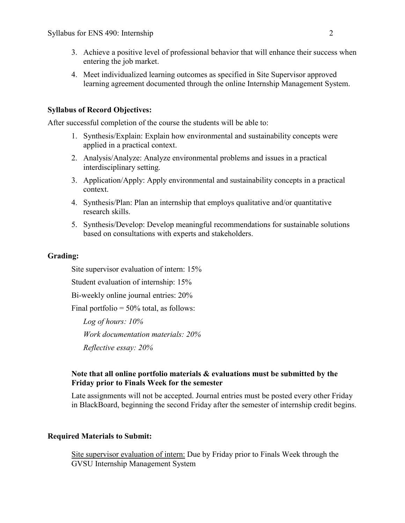- 3. Achieve a positive level of professional behavior that will enhance their success when entering the job market.
- 4. Meet individualized learning outcomes as specified in Site Supervisor approved learning agreement documented through the online Internship Management System.

## **Syllabus of Record Objectives:**

After successful completion of the course the students will be able to:

- 1. Synthesis/Explain: Explain how environmental and sustainability concepts were applied in a practical context.
- 2. Analysis/Analyze: Analyze environmental problems and issues in a practical interdisciplinary setting.
- 3. Application/Apply: Apply environmental and sustainability concepts in a practical context.
- 4. Synthesis/Plan: Plan an internship that employs qualitative and/or quantitative research skills.
- 5. Synthesis/Develop: Develop meaningful recommendations for sustainable solutions based on consultations with experts and stakeholders.

#### **Grading:**

Site supervisor evaluation of intern: 15% Student evaluation of internship: 15% Bi-weekly online journal entries: 20% Final portfolio  $= 50\%$  total, as follows: *Log of hours: 10% Work documentation materials: 20% Reflective essay: 20%*

## **Note that all online portfolio materials & evaluations must be submitted by the Friday prior to Finals Week for the semester**

Late assignments will not be accepted. Journal entries must be posted every other Friday in BlackBoard, beginning the second Friday after the semester of internship credit begins.

#### **Required Materials to Submit:**

Site supervisor evaluation of intern: Due by Friday prior to Finals Week through the GVSU Internship Management System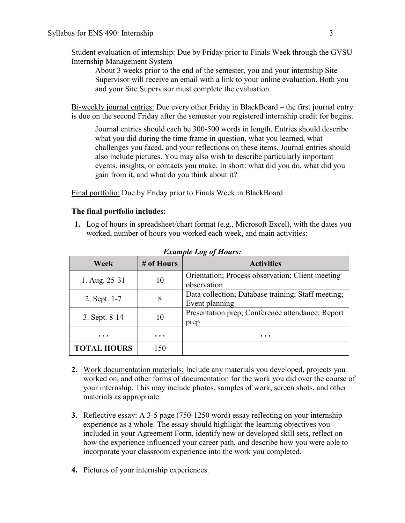Student evaluation of internship: Due by Friday prior to Finals Week through the GVSU Internship Management System

About 3 weeks prior to the end of the semester, you and your internship Site Supervisor will receive an email with a link to your online evaluation. Both you and your Site Supervisor must complete the evaluation.

Bi-weekly journal entries: Due every other Friday in BlackBoard – the first journal entry is due on the second Friday after the semester you registered internship credit for begins.

Journal entries should each be 300-500 words in length. Entries should describe what you did during the time frame in question, what you learned, what challenges you faced, and your reflections on these items. Journal entries should also include pictures. You may also wish to describe particularly important events, insights, or contacts you make. In short: what did you do, what did you gain from it, and what do you think about it?

Final portfolio: Due by Friday prior to Finals Week in BlackBoard

## **The final portfolio includes:**

**1.** Log of hours in spreadsheet/chart format (e.g., Microsoft Excel), with the dates you worked, number of hours you worked each week, and main activities:

| Week               | # of Hours | <b>Activities</b>                                                    |
|--------------------|------------|----------------------------------------------------------------------|
| 1. Aug. 25-31      | 10         | Orientation; Process observation; Client meeting<br>observation      |
| 2. Sept. 1-7       | 8          | Data collection; Database training; Staff meeting;<br>Event planning |
| 3. Sept. 8-14      | 10         | Presentation prep; Conference attendance; Report<br>prep             |
| $\ddotsc$          | $\ddotsc$  |                                                                      |
| <b>TOTAL HOURS</b> | 150        |                                                                      |

*Example Log of Hours:*

- **2.** Work documentation materials: Include any materials you developed, projects you worked on, and other forms of documentation for the work you did over the course of your internship. This may include photos, samples of work, screen shots, and other materials as appropriate.
- **3.** Reflective essay: A 3-5 page (750-1250 word) essay reflecting on your internship experience as a whole. The essay should highlight the learning objectives you included in your Agreement Form, identify new or developed skill sets, reflect on how the experience influenced your career path, and describe how you were able to incorporate your classroom experience into the work you completed.
- **4.** Pictures of your internship experiences.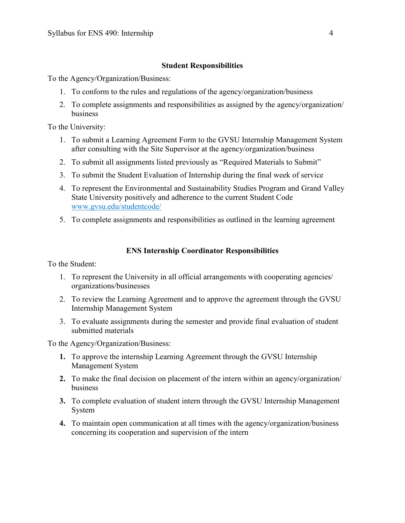#### **Student Responsibilities**

To the Agency/Organization/Business:

- 1. To conform to the rules and regulations of the agency/organization/business
- 2. To complete assignments and responsibilities as assigned by the agency/organization/ business

To the University:

- 1. To submit a Learning Agreement Form to the GVSU Internship Management System after consulting with the Site Supervisor at the agency/organization/business
- 2. To submit all assignments listed previously as "Required Materials to Submit"
- 3. To submit the Student Evaluation of Internship during the final week of service
- 4. To represent the Environmental and Sustainability Studies Program and Grand Valley State University positively and adherence to the current Student Code [www.gvsu.edu/studentcode/](http://www.gvsu.edu/studentcode/)
- 5. To complete assignments and responsibilities as outlined in the learning agreement

## **ENS Internship Coordinator Responsibilities**

To the Student:

- 1. To represent the University in all official arrangements with cooperating agencies/ organizations/businesses
- 2. To review the Learning Agreement and to approve the agreement through the GVSU Internship Management System
- 3. To evaluate assignments during the semester and provide final evaluation of student submitted materials

To the Agency/Organization/Business:

- **1.** To approve the internship Learning Agreement through the GVSU Internship Management System
- **2.** To make the final decision on placement of the intern within an agency/organization/ business
- **3.** To complete evaluation of student intern through the GVSU Internship Management System
- **4.** To maintain open communication at all times with the agency/organization/business concerning its cooperation and supervision of the intern